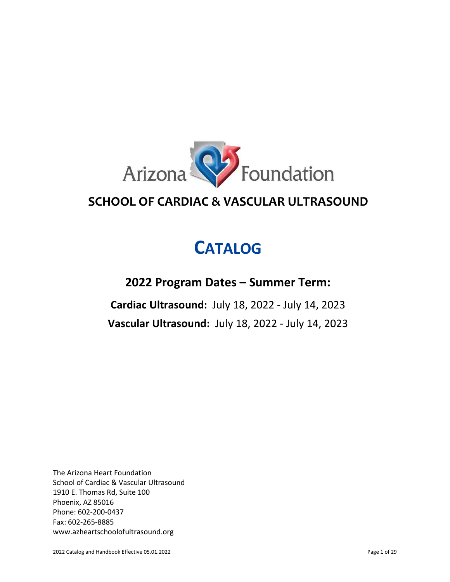

# **SCHOOL OF CARDIAC & VASCULAR ULTRASOUND**

# **CATALOG**

# **2022 Program Dates – Summer Term:**

**Cardiac Ultrasound:** July 18, 2022 - July 14, 2023 **Vascular Ultrasound:** July 18, 2022 - July 14, 2023

The Arizona Heart Foundation School of Cardiac & Vascular Ultrasound 1910 E. Thomas Rd, Suite 100 Phoenix, AZ 85016 Phone: 602-200-0437 Fax: 602-265-8885 [www.azheartschoolofultrasound.org](http://www.azheartfoundation.org/)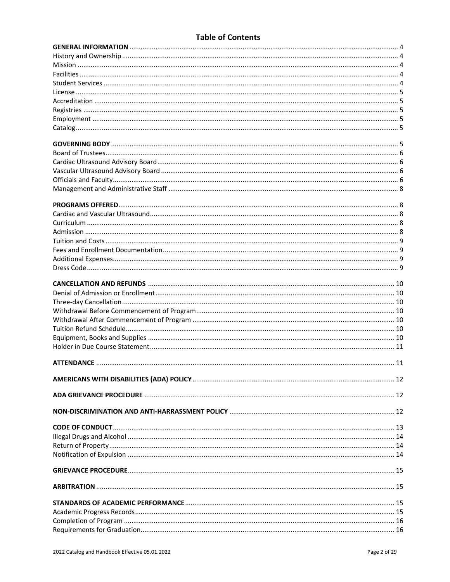# **Table of Contents**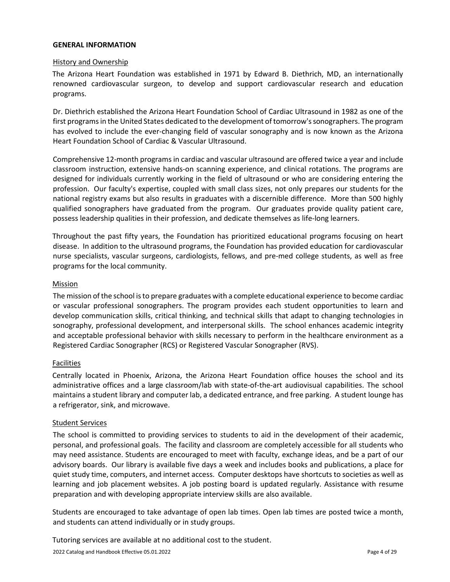#### <span id="page-3-0"></span>**GENERAL INFORMATION**

#### History and Ownership

The Arizona Heart Foundation was established in 1971 by Edward B. Diethrich, MD, an internationally renowned cardiovascular surgeon, to develop and support cardiovascular research and education programs.

Dr. Diethrich established the Arizona Heart Foundation School of Cardiac Ultrasound in 1982 as one of the first programs in the United States dedicated to the development of tomorrow's sonographers. The program has evolved to include the ever-changing field of vascular sonography and is now known as the Arizona Heart Foundation School of Cardiac & Vascular Ultrasound.

Comprehensive 12-month programs in cardiac and vascular ultrasound are offered twice a year and include classroom instruction, extensive hands-on scanning experience, and clinical rotations. The programs are designed for individuals currently working in the field of ultrasound or who are considering entering the profession. Our faculty's expertise, coupled with small class sizes, not only prepares our students for the national registry exams but also results in graduates with a discernible difference. More than 500 highly qualified sonographers have graduated from the program. Our graduates provide quality patient care, possess leadership qualities in their profession, and dedicate themselves as life-long learners.

Throughout the past fifty years, the Foundation has prioritized educational programs focusing on heart disease. In addition to the ultrasound programs, the Foundation has provided education for cardiovascular nurse specialists, vascular surgeons, cardiologists, fellows, and pre-med college students, as well as free programs for the local community.

#### Mission

The mission of the school is to prepare graduates with a complete educational experience to become cardiac or vascular professional sonographers. The program provides each student opportunities to learn and develop communication skills, critical thinking, and technical skills that adapt to changing technologies in sonography, professional development, and interpersonal skills. The school enhances academic integrity and acceptable professional behavior with skills necessary to perform in the healthcare environment as a Registered Cardiac Sonographer (RCS) or Registered Vascular Sonographer (RVS).

# **Facilities**

Centrally located in Phoenix, Arizona, the Arizona Heart Foundation office houses the school and its administrative offices and a large classroom/lab with state-of-the-art audiovisual capabilities. The school maintains a student library and computer lab, a dedicated entrance, and free parking. A student lounge has a refrigerator, sink, and microwave.

# Student Services

The school is committed to providing services to students to aid in the development of their academic, personal, and professional goals. The facility and classroom are completely accessible for all students who may need assistance. Students are encouraged to meet with faculty, exchange ideas, and be a part of our advisory boards. Our library is available five days a week and includes books and publications, a place for quiet study time, computers, and internet access. Computer desktops have shortcuts to societies as well as learning and job placement websites. A job posting board is updated regularly. Assistance with resume preparation and with developing appropriate interview skills are also available.

Students are encouraged to take advantage of open lab times. Open lab times are posted twice a month, and students can attend individually or in study groups.

Tutoring services are available at no additional cost to the student.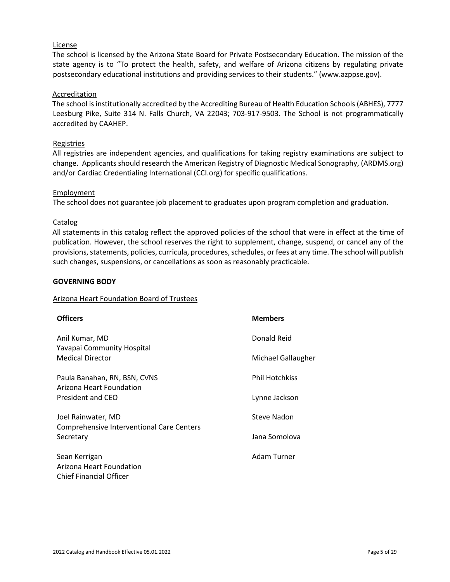# License

<span id="page-4-1"></span>The school is licensed by the Arizona State Board for Private Postsecondary Education. The mission of the state agency is to "To protect the health, safety, and welfare of Arizona citizens by regulating private postsecondary educational institutions and providing services to their students." (www.azppse.gov).

#### Accreditation

The school is institutionally accredited by the Accrediting Bureau of Health Education Schools (ABHES), 7777 Leesburg Pike, Suite 314 N. Falls Church, VA 22043; 703-917-9503. The School is not programmatically accredited by CAAHEP.

#### **Registries**

All registries are independent agencies, and qualifications for taking registry examinations are subject to change. Applicants should research the American Registry of Diagnostic Medical Sonography, (ARDMS.org) and/or Cardiac Credentialing International (CCI.org) for specific qualifications.

#### Employment

<span id="page-4-0"></span>The school does not guarantee job placement to graduates upon program completion and graduation.

#### **Catalog**

All statements in this catalog reflect the approved policies of the school that were in effect at the time of publication. However, the school reserves the right to supplement, change, suspend, or cancel any of the provisions, statements, policies, curricula, procedures, schedules, or fees at any time. The school will publish such changes, suspensions, or cancellations as soon as reasonably practicable.

#### **GOVERNING BODY**

#### Arizona Heart Foundation Board of Trustees

| <b>Officers</b>                                                             | <b>Members</b>        |
|-----------------------------------------------------------------------------|-----------------------|
| Anil Kumar, MD                                                              | Donald Reid           |
| Yavapai Community Hospital<br><b>Medical Director</b>                       | Michael Gallaugher    |
| Paula Banahan, RN, BSN, CVNS                                                | <b>Phil Hotchkiss</b> |
| Arizona Heart Foundation<br>President and CEO                               | Lynne Jackson         |
| Joel Rainwater, MD<br><b>Comprehensive Interventional Care Centers</b>      | Steve Nadon           |
| Secretary                                                                   | Jana Somolova         |
| Sean Kerrigan<br>Arizona Heart Foundation<br><b>Chief Financial Officer</b> | Adam Turner           |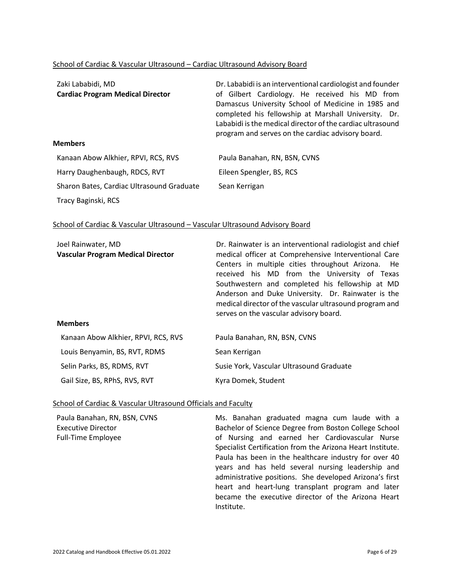#### School of Cardiac & Vascular Ultrasound – Cardiac Ultrasound Advisory Board

| Zaki Lababidi, MD<br><b>Cardiac Program Medical Director</b> | Dr. Lababidi is an interventional cardiologist and founder<br>of Gilbert Cardiology. He received his MD from<br>Damascus University School of Medicine in 1985 and<br>completed his fellowship at Marshall University. Dr.<br>Lababidi is the medical director of the cardiac ultrasound<br>program and serves on the cardiac advisory board. |
|--------------------------------------------------------------|-----------------------------------------------------------------------------------------------------------------------------------------------------------------------------------------------------------------------------------------------------------------------------------------------------------------------------------------------|
| <b>Members</b>                                               |                                                                                                                                                                                                                                                                                                                                               |
| Kanaan Abow Alkhier, RPVI, RCS, RVS                          | Paula Banahan, RN, BSN, CVNS                                                                                                                                                                                                                                                                                                                  |
| Harry Daughenbaugh, RDCS, RVT                                | Eileen Spengler, BS, RCS                                                                                                                                                                                                                                                                                                                      |
| Sharon Bates, Cardiac Ultrasound Graduate                    | Sean Kerrigan                                                                                                                                                                                                                                                                                                                                 |
| Tracy Baginski, RCS                                          |                                                                                                                                                                                                                                                                                                                                               |

#### School of Cardiac & Vascular Ultrasound – Vascular Ultrasound Advisory Board

| Joel Rainwater, MD<br><b>Vascular Program Medical Director</b><br><b>Members</b> | Dr. Rainwater is an interventional radiologist and chief<br>medical officer at Comprehensive Interventional Care<br>Centers in multiple cities throughout Arizona. He<br>received his MD from the University of Texas<br>Southwestern and completed his fellowship at MD<br>Anderson and Duke University. Dr. Rainwater is the<br>medical director of the vascular ultrasound program and<br>serves on the vascular advisory board. |
|----------------------------------------------------------------------------------|-------------------------------------------------------------------------------------------------------------------------------------------------------------------------------------------------------------------------------------------------------------------------------------------------------------------------------------------------------------------------------------------------------------------------------------|
| Kanaan Abow Alkhier, RPVI, RCS, RVS                                              | Paula Banahan, RN, BSN, CVNS                                                                                                                                                                                                                                                                                                                                                                                                        |
| Louis Benyamin, BS, RVT, RDMS                                                    | Sean Kerrigan                                                                                                                                                                                                                                                                                                                                                                                                                       |
| Selin Parks, BS, RDMS, RVT                                                       | Susie York, Vascular Ultrasound Graduate                                                                                                                                                                                                                                                                                                                                                                                            |

Kyra Domek, Student

Gail Size, BS, RPhS, RVS, RVT

#### School of Cardiac & Vascular Ultrasound Officials and Faculty

Paula Banahan, RN, BSN, CVNS Executive Director Full-Time Employee

Ms. Banahan graduated magna cum laude with a Bachelor of Science Degree from Boston College School of Nursing and earned her Cardiovascular Nurse Specialist Certification from the Arizona Heart Institute. Paula has been in the healthcare industry for over 40 years and has held several nursing leadership and administrative positions. She developed Arizona's first heart and heart-lung transplant program and later became the executive director of the Arizona Heart Institute.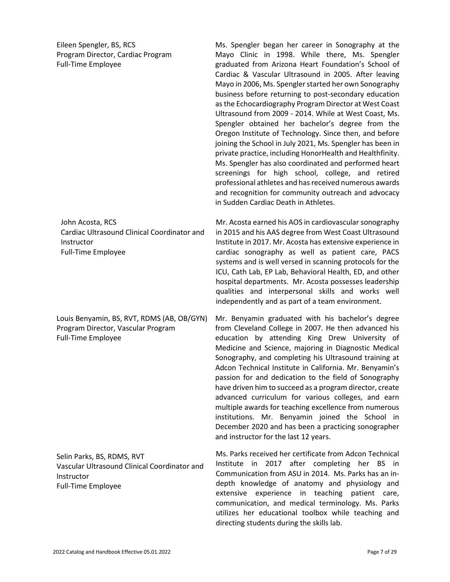Eileen Spengler, BS, RCS Program Director, Cardiac Program Full-Time Employee

Ms. Spengler began her career in Sonography at the Mayo Clinic in 1998. While there, Ms. Spengler graduated from Arizona Heart Foundation's School of Cardiac & Vascular Ultrasound in 2005. After leaving Mayo in 2006, Ms. Spengler started her own Sonography business before returning to post-secondary education as the Echocardiography Program Director at West Coast Ultrasound from 2009 - 2014. While at West Coast, Ms. Spengler obtained her bachelor's degree from the Oregon Institute of Technology. Since then, and before joining the School in July 2021, Ms. Spengler has been in private practice, including HonorHealth and Healthfinity. Ms. Spengler has also coordinated and performed heart screenings for high school, college, and retired professional athletes and has received numerous awards and recognition for community outreach and advocacy in Sudden Cardiac Death in Athletes.

Mr. Acosta earned his AOS in cardiovascular sonography in 2015 and his AAS degree from West Coast Ultrasound Institute in 2017. Mr. Acosta has extensive experience in cardiac sonography as well as patient care, PACS systems and is well versed in scanning protocols for the ICU, Cath Lab, EP Lab, Behavioral Health, ED, and other hospital departments. Mr. Acosta possesses leadership qualities and interpersonal skills and works well independently and as part of a team environment.

Mr. Benyamin graduated with his bachelor's degree from Cleveland College in 2007. He then advanced his education by attending King Drew University of Medicine and Science, majoring in Diagnostic Medical Sonography, and completing his Ultrasound training at Adcon Technical Institute in California. Mr. Benyamin's passion for and dedication to the field of Sonography have driven him to succeed as a program director, create advanced curriculum for various colleges, and earn multiple awards for teaching excellence from numerous institutions. Mr. Benyamin joined the School in December 2020 and has been a practicing sonographer and instructor for the last 12 years.

Ms. Parks received her certificate from Adcon Technical Institute in 2017 after completing her BS in Communication from ASU in 2014. Ms. Parks has an indepth knowledge of anatomy and physiology and extensive experience in teaching patient care, communication, and medical terminology. Ms. Parks utilizes her educational toolbox while teaching and directing students during the skills lab.

John Acosta, RCS Cardiac Ultrasound Clinical Coordinator and Instructor Full-Time Employee

Louis Benyamin, BS, RVT, RDMS (AB, OB/GYN) Program Director, Vascular Program Full-Time Employee

Selin Parks, BS, RDMS, RVT Vascular Ultrasound Clinical Coordinator and Instructor Full-Time Employee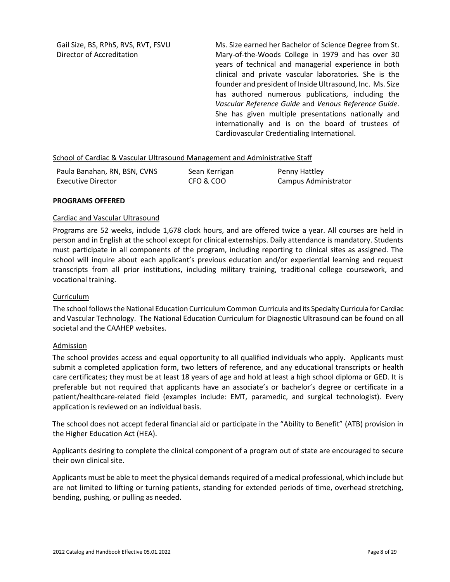Gail Size, BS, RPhS, RVS, RVT, FSVU Director of Accreditation

Ms. Size earned her Bachelor of Science Degree from St. Mary-of-the-Woods College in 1979 and has over 30 years of technical and managerial experience in both clinical and private vascular laboratories. She is the founder and president of Inside Ultrasound, Inc. Ms. Size has authored numerous publications, including the *Vascular Reference Guide* and *Venous Reference Guide*. She has given multiple presentations nationally and internationally and is on the board of trustees of Cardiovascular Credentialing International.

#### <span id="page-7-0"></span>School of Cardiac & Vascular Ultrasound Management and Administrative Staff

| Paula Banahan, RN, BSN, CVNS | Sean Kerrigan | Penny Hattley        |
|------------------------------|---------------|----------------------|
| Executive Director           | CFO & COO     | Campus Administrator |

#### **PROGRAMS OFFERED**

#### Cardiac and Vascular Ultrasound

Programs are 52 weeks, include 1,678 clock hours, and are offered twice a year. All courses are held in person and in English at the school except for clinical externships. Daily attendance is mandatory. Students must participate in all components of the program, including reporting to clinical sites as assigned. The school will inquire about each applicant's previous education and/or experiential learning and request transcripts from all prior institutions, including military training, traditional college coursework, and vocational training.

#### Curriculum

The school follows the National Education Curriculum Common Curricula and its Specialty Curricula for Cardiac and Vascular Technology. The National Education Curriculum for Diagnostic Ultrasound can be found on all societal and the CAAHEP websites.

#### Admission

The school provides access and equal opportunity to all qualified individuals who apply. Applicants must submit a completed application form, two letters of reference, and any educational transcripts or health care certificates; they must be at least 18 years of age and hold at least a high school diploma or GED. It is preferable but not required that applicants have an associate's or bachelor's degree or certificate in a patient/healthcare-related field (examples include: EMT, paramedic, and surgical technologist). Every application is reviewed on an individual basis.

The school does not accept federal financial aid or participate in the "Ability to Benefit" (ATB) provision in the Higher Education Act (HEA).

Applicants desiring to complete the clinical component of a program out of state are encouraged to secure their own clinical site.

Applicants must be able to meet the physical demands required of a medical professional, which include but are not limited to lifting or turning patients, standing for extended periods of time, overhead stretching, bending, pushing, or pulling as needed.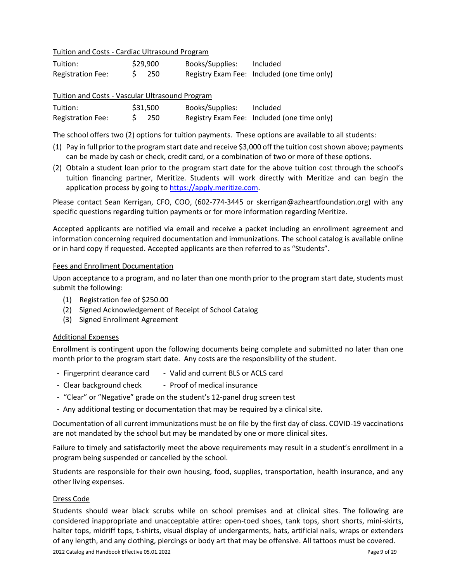Tuition and Costs - Cardiac Ultrasound Program

| Tuition:                 | \$29,900 | Books/Supplies: | Included                                    |
|--------------------------|----------|-----------------|---------------------------------------------|
| <b>Registration Fee:</b> | $S$ 250  |                 | Registry Exam Fee: Included (one time only) |

|  | Tuition and Costs - Vascular Ultrasound Program |  |  |  |
|--|-------------------------------------------------|--|--|--|
|--|-------------------------------------------------|--|--|--|

| Tuition:                 | \$31,500 | Books/Supplies: | Included                                    |
|--------------------------|----------|-----------------|---------------------------------------------|
| <b>Registration Fee:</b> | - 250    |                 | Registry Exam Fee: Included (one time only) |

The school offers two (2) options for tuition payments. These options are available to all students:

- (1) Pay in full prior to the program start date and receive \$3,000 off the tuition cost shown above; payments can be made by cash or check, credit card, or a combination of two or more of these options.
- (2) Obtain a student loan prior to the program start date for the above tuition cost through the school's tuition financing partner, Meritize. Students will work directly with Meritize and can begin the application process by going to [https://apply.meritize.com.](https://apply.meritize.com/)

Please contact Sean Kerrigan, CFO, COO, (602-774-3445 or skerrigan@azheartfoundation.org) with any specific questions regarding tuition payments or for more information regarding Meritize.

Accepted applicants are notified via email and receive a packet including an enrollment agreement and information concerning required documentation and immunizations. The school catalog is available online or in hard copy if requested. Accepted applicants are then referred to as "Students".

#### Fees and Enrollment Documentation

Upon acceptance to a program, and no later than one month prior to the program start date, students must submit the following:

- (1) Registration fee of \$250.00
- (2) Signed Acknowledgement of Receipt of School Catalog
- (3) Signed Enrollment Agreement

#### Additional Expenses

Enrollment is contingent upon the following documents being complete and submitted no later than one month prior to the program start date. Any costs are the responsibility of the student.

- Fingerprint clearance card Valid and current BLS or ACLS card
- Clear background check Proof of medical insurance
- "Clear" or "Negative" grade on the student's 12-panel drug screen test
- Any additional testing or documentation that may be required by a clinical site.

Documentation of all current immunizations must be on file by the first day of class. COVID-19 vaccinations are not mandated by the school but may be mandated by one or more clinical sites.

Failure to timely and satisfactorily meet the above requirements may result in a student's enrollment in a program being suspended or cancelled by the school.

Students are responsible for their own housing, food, supplies, transportation, health insurance, and any other living expenses.

#### Dress Code

Students should wear black scrubs while on school premises and at clinical sites. The following are considered inappropriate and unacceptable attire: open-toed shoes, tank tops, short shorts, mini-skirts, halter tops, midriff tops, t-shirts, visual display of undergarments, hats, artificial nails, wraps or extenders of any length, and any clothing, piercings or body art that may be offensive. All tattoos must be covered.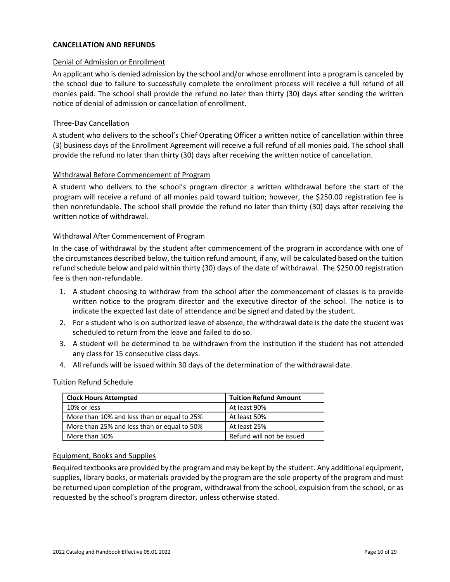### **CANCELLATION AND REFUNDS**

#### Denial of Admission or Enrollment

An applicant who is denied admission by the school and/or whose enrollment into a program is canceled by the school due to failure to successfully complete the enrollment process will receive a full refund of all monies paid. The school shall provide the refund no later than thirty (30) days after sending the written notice of denial of admission or cancellation of enrollment.

#### Three-Day Cancellation

A student who delivers to the school's Chief Operating Officer a written notice of cancellation within three (3) business days of the Enrollment Agreement will receive a full refund of all monies paid. The school shall provide the refund no later than thirty (30) days after receiving the written notice of cancellation.

#### Withdrawal Before Commencement of Program

A student who delivers to the school's program director a written withdrawal before the start of the program will receive a refund of all monies paid toward tuition; however, the \$250.00 registration fee is then nonrefundable. The school shall provide the refund no later than thirty (30) days after receiving the written notice of withdrawal.

#### Withdrawal After Commencement of Program

In the case of withdrawal by the student after commencement of the program in accordance with one of the circumstances described below, the tuition refund amount, if any, will be calculated based on the tuition refund schedule below and paid within thirty (30) days of the date of withdrawal. The \$250.00 registration fee is then non-refundable.

- 1. A student choosing to withdraw from the school after the commencement of classes is to provide written notice to the program director and the executive director of the school. The notice is to indicate the expected last date of attendance and be signed and dated by the student.
- 2. For a student who is on authorized leave of absence, the withdrawal date is the date the student was scheduled to return from the leave and failed to do so.
- 3. A student will be determined to be withdrawn from the institution if the student has not attended any class for 15 consecutive class days.
- 4. All refunds will be issued within 30 days of the determination of the withdrawal date.

#### Tuition Refund Schedule

| <b>Clock Hours Attempted</b>                | <b>Tuition Refund Amount</b> |
|---------------------------------------------|------------------------------|
| 10% or less                                 | At least 90%                 |
| More than 10% and less than or equal to 25% | At least 50%                 |
| More than 25% and less than or equal to 50% | At least 25%                 |
| More than 50%                               | Refund will not be issued    |

#### Equipment, Books and Supplies

Required textbooks are provided by the program and may be kept by the student. Any additional equipment, supplies, library books, or materials provided by the program are the sole property of the program and must be returned upon completion of the program, withdrawal from the school, expulsion from the school, or as requested by the school's program director, unless otherwise stated.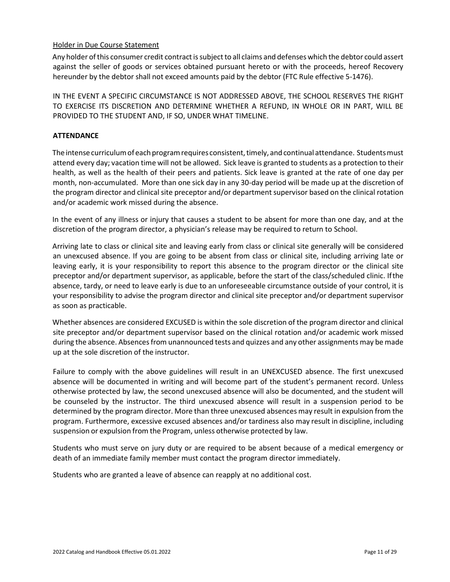# Holder in Due Course Statement

Any holder of this consumer credit contract is subject to all claims and defenses which the debtor could assert against the seller of goods or services obtained pursuant hereto or with the proceeds, hereof Recovery hereunder by the debtor shall not exceed amounts paid by the debtor (FTC Rule effective 5-1476).

IN THE EVENT A SPECIFIC CIRCUMSTANCE IS NOT ADDRESSED ABOVE, THE SCHOOL RESERVES THE RIGHT TO EXERCISE ITS DISCRETION AND DETERMINE WHETHER A REFUND, IN WHOLE OR IN PART, WILL BE PROVIDED TO THE STUDENT AND, IF SO, UNDER WHAT TIMELINE.

#### **ATTENDANCE**

The intense curriculum of each program requires consistent, timely, and continual attendance. Students must attend every day; vacation time will not be allowed. Sick leave is granted to students as a protection to their health, as well as the health of their peers and patients. Sick leave is granted at the rate of one day per month, non-accumulated. More than one sick day in any 30-day period will be made up at the discretion of the program director and clinical site preceptor and/or departmentsupervisor based on the clinical rotation and/or academic work missed during the absence.

In the event of any illness or injury that causes a student to be absent for more than one day, and at the discretion of the program director, a physician's release may be required to return to School.

Arriving late to class or clinical site and leaving early from class or clinical site generally will be considered an unexcused absence. If you are going to be absent from class or clinical site, including arriving late or leaving early, it is your responsibility to report this absence to the program director or the clinical site preceptor and/or department supervisor, as applicable, before the start of the class/scheduled clinic. Ifthe absence, tardy, or need to leave early is due to an unforeseeable circumstance outside of your control, it is your responsibility to advise the program director and clinical site preceptor and/or department supervisor as soon as practicable.

Whether absences are considered EXCUSED is within the sole discretion of the program director and clinical site preceptor and/or department supervisor based on the clinical rotation and/or academic work missed during the absence. Absences from unannounced tests and quizzes and any other assignments may be made up at the sole discretion of the instructor.

Failure to comply with the above guidelines will result in an UNEXCUSED absence. The first unexcused absence will be documented in writing and will become part of the student's permanent record. Unless otherwise protected by law, the second unexcused absence will also be documented, and the student will be counseled by the instructor. The third unexcused absence will result in a suspension period to be determined by the program director. More than three unexcused absences may result in expulsion from the program. Furthermore, excessive excused absences and/or tardiness also may result in discipline, including suspension or expulsion from the Program, unless otherwise protected by law.

Students who must serve on jury duty or are required to be absent because of a medical emergency or death of an immediate family member must contact the program director immediately.

Students who are granted a leave of absence can reapply at no additional cost.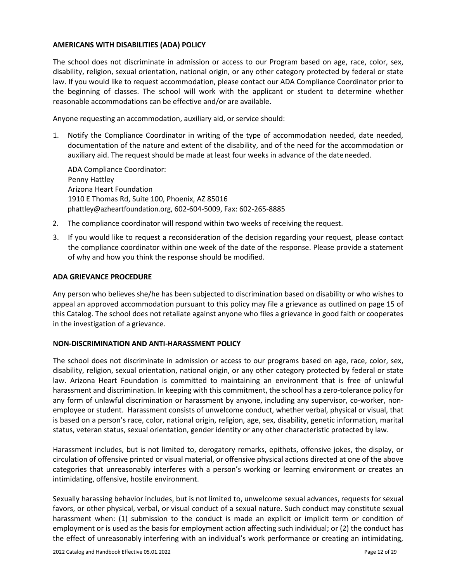### **AMERICANS WITH DISABILITIES (ADA) POLICY**

The school does not discriminate in admission or access to our Program based on age, race, color, sex, disability, religion, sexual orientation, national origin, or any other category protected by federal or state law. If you would like to request accommodation, please contact our ADA Compliance Coordinator prior to the beginning of classes. The school will work with the applicant or student to determine whether reasonable accommodations can be effective and/or are available.

Anyone requesting an accommodation, auxiliary aid, or service should:

1. Notify the Compliance Coordinator in writing of the type of accommodation needed, date needed, documentation of the nature and extent of the disability, and of the need for the accommodation or auxiliary aid. The request should be made at least four weeks in advance of the dateneeded.

ADA Compliance Coordinator: Penny Hattley Arizona Heart Foundation 1910 E Thomas Rd, Suite 100, Phoenix, AZ 85016 phattley@azheartfoundation.org, 602-604-5009, Fax: 602-265-8885

- 2. The compliance coordinator will respond within two weeks of receiving the request.
- 3. If you would like to request a reconsideration of the decision regarding your request, please contact the compliance coordinator within one week of the date of the response. Please provide a statement of why and how you think the response should be modified.

#### **ADA GRIEVANCE PROCEDURE**

Any person who believes she/he has been subjected to discrimination based on disability or who wishes to appeal an approved accommodation pursuant to this policy may file a grievance as outlined on page 15 of this Catalog. The school does not retaliate against anyone who files a grievance in good faith or cooperates in the investigation of a grievance.

#### <span id="page-11-0"></span>**NON-DISCRIMINATION AND ANTI-HARASSMENT POLICY**

The school does not discriminate in admission or access to our programs based on age, race, color, sex, disability, religion, sexual orientation, national origin, or any other category protected by federal or state law. Arizona Heart Foundation is committed to maintaining an environment that is free of unlawful harassment and discrimination. In keeping with this commitment, the school has a zero-tolerance policy for any form of unlawful discrimination or harassment by anyone, including any supervisor, co-worker, nonemployee or student. Harassment consists of unwelcome conduct, whether verbal, physical or visual, that is based on a person's race, color, national origin, religion, age, sex, disability, genetic information, marital status, veteran status, sexual orientation, gender identity or any other characteristic protected by law.

Harassment includes, but is not limited to, derogatory remarks, epithets, offensive jokes, the display, or circulation of offensive printed or visual material, or offensive physical actions directed at one of the above categories that unreasonably interferes with a person's working or learning environment or creates an intimidating, offensive, hostile environment.

Sexually harassing behavior includes, but is not limited to, unwelcome sexual advances, requests for sexual favors, or other physical, verbal, or visual conduct of a sexual nature. Such conduct may constitute sexual harassment when: (1) submission to the conduct is made an explicit or implicit term or condition of employment or is used as the basis for employment action affecting such individual; or (2) the conduct has the effect of unreasonably interfering with an individual's work performance or creating an intimidating,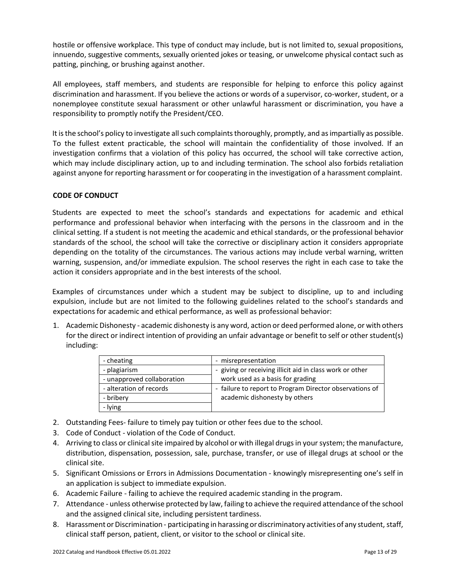hostile or offensive workplace. This type of conduct may include, but is not limited to, sexual propositions, innuendo, suggestive comments, sexually oriented jokes or teasing, or unwelcome physical contact such as patting, pinching, or brushing against another.

All employees, staff members, and students are responsible for helping to enforce this policy against discrimination and harassment. If you believe the actions or words of a supervisor, co-worker, student, or a nonemployee constitute sexual harassment or other unlawful harassment or discrimination, you have a responsibility to promptly notify the President/CEO.

It is the school's policy to investigate all such complaints thoroughly, promptly, and as impartially as possible. To the fullest extent practicable, the school will maintain the confidentiality of those involved. If an investigation confirms that a violation of this policy has occurred, the school will take corrective action, which may include disciplinary action, up to and including termination. The school also forbids retaliation against anyone for reporting harassment or for cooperating in the investigation of a harassment complaint.

# **CODE OF CONDUCT**

Students are expected to meet the school's standards and expectations for academic and ethical performance and professional behavior when interfacing with the persons in the classroom and in the clinical setting. If a student is not meeting the academic and ethical standards, or the professional behavior standards of the school, the school will take the corrective or disciplinary action it considers appropriate depending on the totality of the circumstances. The various actions may include verbal warning, written warning, suspension, and/or immediate expulsion. The school reserves the right in each case to take the action it considers appropriate and in the best interests of the school.

Examples of circumstances under which a student may be subject to discipline, up to and including expulsion, include but are not limited to the following guidelines related to the school's standards and expectations for academic and ethical performance, as well as professional behavior:

1. Academic Dishonesty - academic dishonesty is any word, action or deed performed alone, or with others for the direct or indirect intention of providing an unfair advantage or benefit to self or other student(s) including:

| - cheating                 | - misrepresentation                                      |
|----------------------------|----------------------------------------------------------|
| - plagiarism               | - giving or receiving illicit aid in class work or other |
| - unapproved collaboration | work used as a basis for grading                         |
| - alteration of records    | - failure to report to Program Director observations of  |
| - bribery                  | academic dishonesty by others                            |
| - lying                    |                                                          |

- 2. Outstanding Fees- failure to timely pay tuition or other fees due to the school.
- 3. Code of Conduct violation of the Code of Conduct.
- 4. Arriving to class or clinical site impaired by alcohol or with illegal drugs in your system; the manufacture, distribution, dispensation, possession, sale, purchase, transfer, or use of illegal drugs at school or the clinical site.
- 5. Significant Omissions or Errors in Admissions Documentation knowingly misrepresenting one's self in an application is subject to immediate expulsion.
- 6. Academic Failure failing to achieve the required academic standing in the program.
- 7. Attendance unless otherwise protected by law, failing to achieve the required attendance of the school and the assigned clinical site, including persistent tardiness.
- 8. Harassment or Discrimination participating in harassing or discriminatory activities of any student, staff, clinical staff person, patient, client, or visitor to the school or clinical site.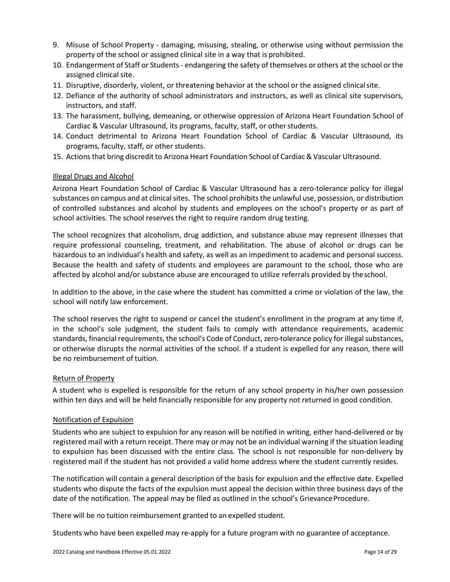- 9. Misuse of School Property damaging, misusing, stealing, or otherwise using without permission the property of the school or assigned clinical site in a way that is prohibited.
- 10. Endangerment of Staff or Students endangering the safety of themselves or others at the school or the assigned clinical site.
- 11. Disruptive, disorderly, violent, or threatening behavior at the school or the assigned clinicalsite.
- 12. Defiance of the authority of school administrators and instructors, as well as clinical site supervisors, instructors, and staff.
- 13. The harassment, bullying, demeaning, or otherwise oppression of Arizona Heart Foundation School of Cardiac & Vascular Ultrasound, its programs, faculty, staff, or other students.
- 14. Conduct detrimental to Arizona Heart Foundation School of Cardiac & Vascular Ultrasound, its programs, faculty, staff, or other students.
- 15. Actionsthat bring discredit to Arizona Heart Foundation School of Cardiac & Vascular Ultrasound.

# Illegal Drugs and Alcohol

Arizona Heart Foundation School of Cardiac & Vascular Ultrasound has a zero-tolerance policy for illegal substances on campus and at clinical sites. The school prohibits the unlawful use, possession, or distribution of controlled substances and alcohol by students and employees on the school's property or as part of school activities. The school reserves the right to require random drug testing.

The school recognizes that alcoholism, drug addiction, and substance abuse may represent illnesses that require professional counseling, treatment, and rehabilitation. The abuse of alcohol or drugs can be hazardous to an individual's health and safety, as well as an impediment to academic and personal success. Because the health and safety of students and employees are paramount to the school, those who are affected by alcohol and/or substance abuse are encouraged to utilize referrals provided by the school.

In addition to the above, in the case where the student has committed a crime or violation of the law, the school will notify law enforcement.

The school reserves the right to suspend or cancel the student's enrollment in the program at any time if, in the school's sole judgment, the student fails to comply with attendance requirements, academic standards, financial requirements, the school's Code of Conduct, zero-tolerance policy for illegal substances, or otherwise disrupts the normal activities of the school. If a student is expelled for any reason, there will be no reimbursement of tuition.

# Return of Property

A student who is expelled is responsible for the return of any school property in his/her own possession within ten days and will be held financially responsible for any property not returned in good condition.

# Notification of Expulsion

Students who are subject to expulsion for any reason will be notified in writing, either hand-delivered or by registered mail with a return receipt. There may or may not be an individual warning if the situation leading to expulsion has been discussed with the entire class. The school is not responsible for non-delivery by registered mail if the student has not provided a valid home address where the student currently resides.

The notification will contain a general description of the basis for expulsion and the effective date. Expelled students who dispute the facts of the expulsion must appeal the decision within three business days of the date of the notification. The appeal may be filed as outlined in the school's Grievance Procedure.

There will be no tuition reimbursement granted to an expelled student.

Students who have been expelled may re-apply for a future program with no guarantee of acceptance.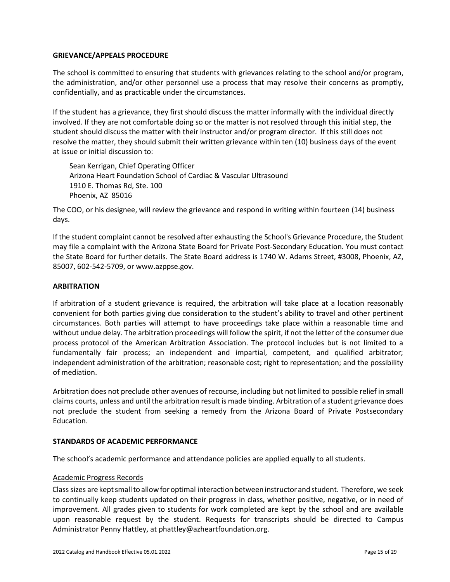#### **GRIEVANCE/APPEALS PROCEDURE**

The school is committed to ensuring that students with grievances relating to the school and/or program, the administration, and/or other personnel use a process that may resolve their concerns as promptly, confidentially, and as practicable under the circumstances.

If the student has a grievance, they first should discuss the matter informally with the individual directly involved. If they are not comfortable doing so or the matter is not resolved through this initial step, the student should discuss the matter with their instructor and/or program director. If this still does not resolve the matter, they should submit their written grievance within ten (10) business days of the event at issue or initial discussion to:

Sean Kerrigan, Chief Operating Officer Arizona Heart Foundation School of Cardiac & Vascular Ultrasound 1910 E. Thomas Rd, Ste. 100 Phoenix, AZ 85016

The COO, or his designee, will review the grievance and respond in writing within fourteen (14) business days.

If the student complaint cannot be resolved after exhausting the School's Grievance Procedure, the Student may file a complaint with the Arizona State Board for Private Post-Secondary Education. You must contact the State Board for further details. The State Board address is 1740 W. Adams Street, #3008, Phoenix, AZ, 85007, 602-542-5709, or www.azppse.gov.

#### **ARBITRATION**

If arbitration of a student grievance is required, the arbitration will take place at a location reasonably convenient for both parties giving due consideration to the student's ability to travel and other pertinent circumstances. Both parties will attempt to have proceedings take place within a reasonable time and without undue delay. The arbitration proceedings will follow the spirit, if not the letter of the consumer due process protocol of the American Arbitration Association. The protocol includes but is not limited to a fundamentally fair process; an independent and impartial, competent, and qualified arbitrator; independent administration of the arbitration; reasonable cost; right to representation; and the possibility of mediation.

Arbitration does not preclude other avenues of recourse, including but not limited to possible relief in small claims courts, unless and until the arbitration result is made binding. Arbitration of a student grievance does not preclude the student from seeking a remedy from the Arizona Board of Private Postsecondary Education.

#### **STANDARDS OF ACADEMIC PERFORMANCE**

The school's academic performance and attendance policies are applied equally to all students.

#### Academic Progress Records

Class sizes are keptsmallto allowforoptimal interaction between instructor and student. Therefore, we seek to continually keep students updated on their progress in class, whether positive, negative, or in need of improvement. All grades given to students for work completed are kept by the school and are available upon reasonable request by the student. Requests for transcripts should be directed to Campus Administrator Penny Hattley, at phattley@azheartfoundation.org.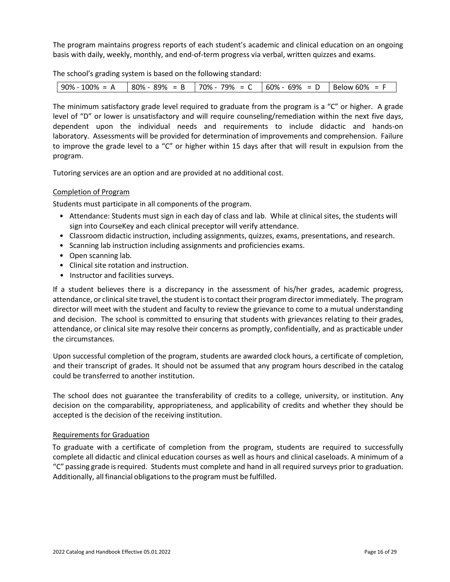The program maintains progress reports of each student's academic and clinical education on an ongoing basis with daily, weekly, monthly, and end-of-term progress via verbal, written quizzes and exams.

The school's grading system is based on the following standard:

The minimum satisfactory grade level required to graduate from the program is a "C" or higher. A grade level of "D" or lower is unsatisfactory and will require counseling/remediation within the next five days, dependent upon the individual needs and requirements to include didactic and hands-on laboratory. Assessments will be provided for determination of improvements and comprehension. Failure to improve the grade level to a "C" or higher within 15 days after that will result in expulsion from the program.

Tutoring services are an option and are provided at no additional cost.

# Completion of Program

Students must participate in all components of the program.

- Attendance: Students must sign in each day of class and lab. While at clinical sites, the students will sign into CourseKey and each clinical preceptor will verify attendance.
- Classroom didactic instruction, including assignments, quizzes, exams, presentations, and research.
- Scanning lab instruction including assignments and proficiencies exams.
- Open scanning lab.
- Clinical site rotation and instruction.
- Instructor and facilities surveys.

If a student believes there is a discrepancy in the assessment of his/her grades, academic progress, attendance, or clinical site travel, the student is to contact their program director immediately. The program director will meet with the student and faculty to review the grievance to come to a mutual understanding and decision. The school is committed to ensuring that students with grievances relating to their grades, attendance, or clinical site may resolve their concerns as promptly, confidentially, and as practicable under the circumstances.

Upon successful completion of the program, students are awarded clock hours, a certificate of completion, and their transcript of grades. It should not be assumed that any program hours described in the catalog could be transferred to another institution.

The school does not guarantee the transferability of credits to a college, university, or institution. Any decision on the comparability, appropriateness, and applicability of credits and whether they should be accepted is the decision of the receiving institution.

#### Requirements for Graduation

To graduate with a certificate of completion from the program, students are required to successfully complete all didactic and clinical education courses as well as hours and clinical caseloads. A minimum of a "C" passing grade isrequired. Students must complete and hand in all required surveys prior to graduation. Additionally, all financial obligations to the program must be fulfilled.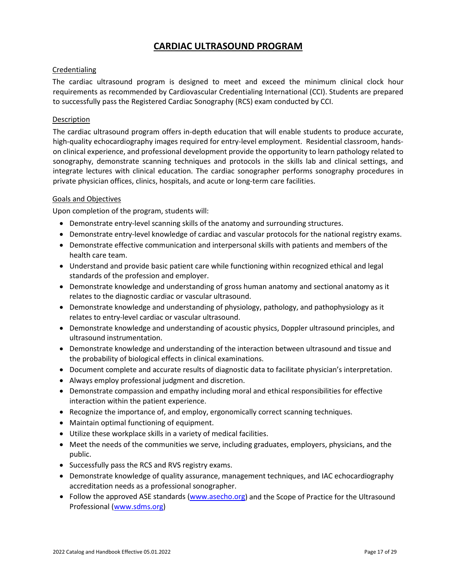# **CARDIAC ULTRASOUND PROGRAM**

# **Credentialing**

The cardiac ultrasound program is designed to meet and exceed the minimum clinical clock hour requirements as recommended by Cardiovascular Credentialing International (CCI). Students are prepared to successfully pass the Registered Cardiac Sonography (RCS) exam conducted by CCI.

#### **Description**

The cardiac ultrasound program offers in-depth education that will enable students to produce accurate, high-quality echocardiography images required for entry-level employment. Residential classroom, handson clinical experience, and professional development provide the opportunity to learn pathology related to sonography, demonstrate scanning techniques and protocols in the skills lab and clinical settings, and integrate lectures with clinical education. The cardiac sonographer performs sonography procedures in private physician offices, clinics, hospitals, and acute or long-term care facilities.

#### Goals and Objectives

Upon completion of the program, students will:

- Demonstrate entry-level scanning skills of the anatomy and surrounding structures.
- Demonstrate entry-level knowledge of cardiac and vascular protocols for the national registry exams.
- Demonstrate effective communication and interpersonal skills with patients and members of the health care team.
- Understand and provide basic patient care while functioning within recognized ethical and legal standards of the profession and employer.
- Demonstrate knowledge and understanding of gross human anatomy and sectional anatomy as it relates to the diagnostic cardiac or vascular ultrasound.
- Demonstrate knowledge and understanding of physiology, pathology, and pathophysiology as it relates to entry-level cardiac or vascular ultrasound.
- Demonstrate knowledge and understanding of acoustic physics, Doppler ultrasound principles, and ultrasound instrumentation.
- Demonstrate knowledge and understanding of the interaction between ultrasound and tissue and the probability of biological effects in clinical examinations.
- Document complete and accurate results of diagnostic data to facilitate physician's interpretation.
- Always employ professional judgment and discretion.
- Demonstrate compassion and empathy including moral and ethical responsibilities for effective interaction within the patient experience.
- Recognize the importance of, and employ, ergonomically correct scanning techniques.
- Maintain optimal functioning of equipment.
- Utilize these workplace skills in a variety of medical facilities.
- Meet the needs of the communities we serve, including graduates, employers, physicians, and the public.
- Successfully pass the RCS and RVS registry exams.
- Demonstrate knowledge of quality assurance, management techniques, and IAC echocardiography accreditation needs as a professional sonographer.
- Follow the approved ASE standards [\(www.asecho.org\)](http://www.asecho.org/) and the Scope of Practice for the Ultrasound Professional [\(www.sdms.org\)](http://www.sdms.org/)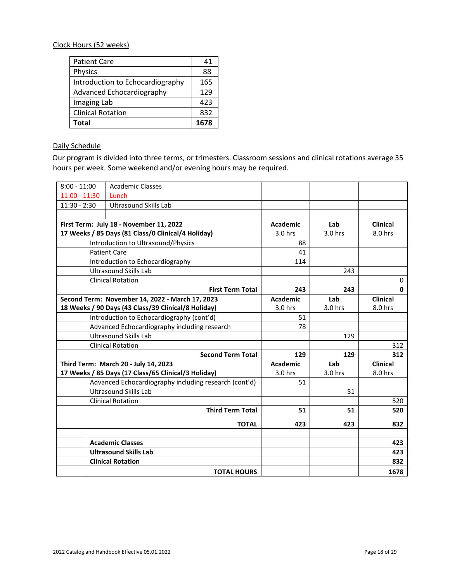# Clock Hours (52 weeks)

| <b>Patient Care</b>              | 41   |
|----------------------------------|------|
| <b>Physics</b>                   | 88   |
| Introduction to Echocardiography | 165  |
| Advanced Echocardiography        | 129  |
| Imaging Lab                      | 423  |
| <b>Clinical Rotation</b>         | 832  |
| Total                            | 1678 |

# Daily Schedule

Our program is divided into three terms, or trimesters. Classroom sessions and clinical rotations average 35 hours per week. Some weekend and/or evening hours may be required.

| $8:00 - 11:00$                       | <b>Academic Classes</b>                               |                 |         |                 |
|--------------------------------------|-------------------------------------------------------|-----------------|---------|-----------------|
| $11:00 - 11:30$                      | Lunch                                                 |                 |         |                 |
| $11:30 - 2:30$                       | <b>Ultrasound Skills Lab</b>                          |                 |         |                 |
|                                      |                                                       |                 |         |                 |
|                                      | First Term: July 18 - November 11, 2022               | <b>Academic</b> | Lab     | <b>Clinical</b> |
|                                      | 17 Weeks / 85 Days (81 Class/0 Clinical/4 Holiday)    | 3.0 hrs         | 3.0 hrs | 8.0 hrs         |
|                                      | Introduction to Ultrasound/Physics                    | 88              |         |                 |
|                                      | <b>Patient Care</b>                                   | 41              |         |                 |
|                                      | Introduction to Echocardiography                      | 114             |         |                 |
|                                      | <b>Ultrasound Skills Lab</b>                          |                 | 243     |                 |
|                                      | <b>Clinical Rotation</b>                              |                 |         | 0               |
|                                      | <b>First Term Total</b>                               | 243             | 243     | $\mathbf 0$     |
|                                      | Second Term: November 14, 2022 - March 17, 2023       | <b>Academic</b> | Lab     | <b>Clinical</b> |
|                                      | 18 Weeks / 90 Days (43 Class/39 Clinical/8 Holiday)   | 3.0 hrs         | 3.0 hrs | 8.0 hrs         |
|                                      | Introduction to Echocardiography (cont'd)             | 51              |         |                 |
|                                      | Advanced Echocardiography including research          | 78              |         |                 |
|                                      | <b>Ultrasound Skills Lab</b>                          |                 | 129     |                 |
|                                      | <b>Clinical Rotation</b>                              |                 |         | 312             |
|                                      | <b>Second Term Total</b>                              | 129             | 129     | 312             |
| Third Term: March 20 - July 14, 2023 |                                                       | <b>Academic</b> | Lab     | <b>Clinical</b> |
|                                      | 17 Weeks / 85 Days (17 Class/65 Clinical/3 Holiday)   | 3.0 hrs         | 3.0 hrs | 8.0 hrs         |
|                                      | Advanced Echocardiography including research (cont'd) | 51              |         |                 |
|                                      | <b>Ultrasound Skills Lab</b>                          |                 | 51      |                 |
|                                      | <b>Clinical Rotation</b>                              |                 |         | 520             |
|                                      | <b>Third Term Total</b>                               | 51              | 51      | 520             |
|                                      | <b>TOTAL</b>                                          | 423             | 423     | 832             |
|                                      |                                                       |                 |         |                 |
|                                      | <b>Academic Classes</b>                               |                 |         | 423             |
|                                      | <b>Ultrasound Skills Lab</b>                          |                 |         | 423             |
|                                      | <b>Clinical Rotation</b>                              |                 |         | 832             |
|                                      | <b>TOTAL HOURS</b>                                    |                 |         | 1678            |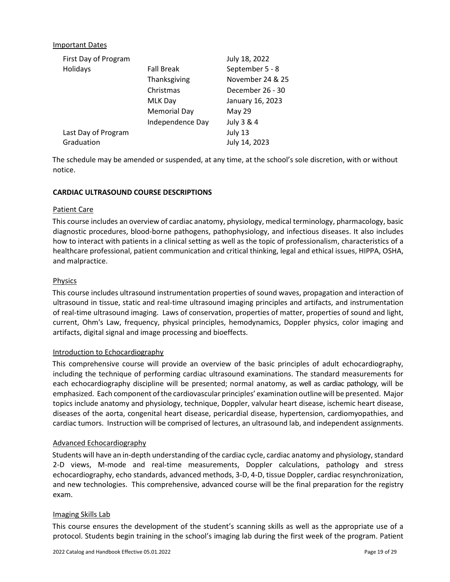### Important Dates

| First Day of Program |                   | July 18, 2022    |
|----------------------|-------------------|------------------|
| Holidays             | <b>Fall Break</b> | September 5 - 8  |
|                      | Thanksgiving      | November 24 & 25 |
|                      | Christmas         | December 26 - 30 |
|                      | MLK Day           | January 16, 2023 |
|                      | Memorial Day      | <b>May 29</b>    |
|                      | Independence Day  | July 3 & 4       |
| Last Day of Program  |                   | July 13          |
| Graduation           |                   | July 14, 2023    |

The schedule may be amended or suspended, at any time, at the school's sole discretion, with or without notice.

#### **CARDIAC ULTRASOUND COURSE DESCRIPTIONS**

#### Patient Care

This course includes an overview of cardiac anatomy, physiology, medical terminology, pharmacology, basic diagnostic procedures, blood-borne pathogens, pathophysiology, and infectious diseases. It also includes how to interact with patients in a clinical setting as well as the topic of professionalism, characteristics of a healthcare professional, patient communication and critical thinking, legal and ethical issues, HIPPA, OSHA, and malpractice.

#### Physics

This course includes ultrasound instrumentation properties of sound waves, propagation and interaction of ultrasound in tissue, static and real-time ultrasound imaging principles and artifacts, and instrumentation of real-time ultrasound imaging. Laws of conservation, properties of matter, properties of sound and light, current, Ohm's Law, frequency, physical principles, hemodynamics, Doppler physics, color imaging and artifacts, digital signal and image processing and bioeffects.

#### Introduction to Echocardiography

This comprehensive course will provide an overview of the basic principles of adult echocardiography, including the technique of performing cardiac ultrasound examinations. The standard measurements for each echocardiography discipline will be presented; normal anatomy, as well as cardiac pathology, will be emphasized. Each component ofthe cardiovascular principles' examination outline will be presented. Major topics include anatomy and physiology, technique, Doppler, valvular heart disease, ischemic heart disease, diseases of the aorta, congenital heart disease, pericardial disease, hypertension, cardiomyopathies, and cardiac tumors. Instruction will be comprised of lectures, an ultrasound lab, and independent assignments.

#### Advanced Echocardiography

Students will have an in-depth understanding of the cardiac cycle, cardiac anatomy and physiology, standard 2-D views, M-mode and real-time measurements, Doppler calculations, pathology and stress echocardiography, echo standards, advanced methods, 3-D, 4-D, tissue Doppler, cardiac resynchronization, and new technologies. This comprehensive, advanced course will be the final preparation for the registry exam.

#### Imaging Skills Lab

This course ensures the development of the student's scanning skills as well as the appropriate use of a protocol. Students begin training in the school's imaging lab during the first week of the program. Patient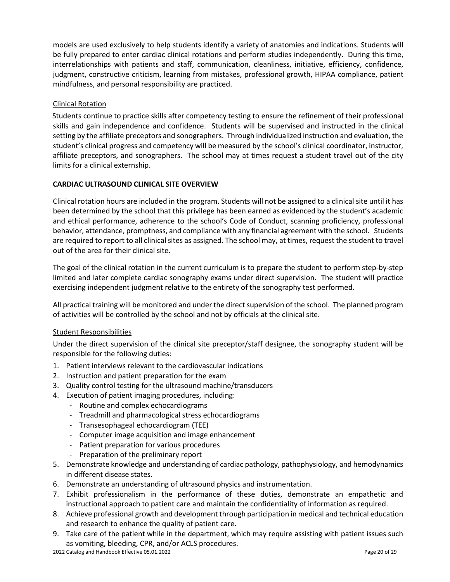models are used exclusively to help students identify a variety of anatomies and indications. Students will be fully prepared to enter cardiac clinical rotations and perform studies independently. During this time, interrelationships with patients and staff, communication, cleanliness, initiative, efficiency, confidence, judgment, constructive criticism, learning from mistakes, professional growth, HIPAA compliance, patient mindfulness, and personal responsibility are practiced.

# Clinical Rotation

Students continue to practice skills after competency testing to ensure the refinement of their professional skills and gain independence and confidence. Students will be supervised and instructed in the clinical setting by the affiliate preceptors and sonographers. Through individualized instruction and evaluation, the student's clinical progress and competency will be measured by the school's clinical coordinator, instructor, affiliate preceptors, and sonographers. The school may at times request a student travel out of the city limits for a clinical externship.

# **CARDIAC ULTRASOUND CLINICAL SITE OVERVIEW**

Clinical rotation hours are included in the program. Students will not be assigned to a clinical site until it has been determined by the school that this privilege has been earned as evidenced by the student's academic and ethical performance, adherence to the school's Code of Conduct, scanning proficiency, professional behavior, attendance, promptness, and compliance with any financial agreement with the school. Students are required to report to all clinical sites as assigned. The school may, at times, request the student to travel out of the area for their clinical site.

The goal of the clinical rotation in the current curriculum is to prepare the student to perform step-by-step limited and later complete cardiac sonography exams under direct supervision. The student will practice exercising independent judgment relative to the entirety of the sonography test performed.

All practical training will be monitored and under the direct supervision of the school. The planned program of activities will be controlled by the school and not by officials at the clinical site.

# Student Responsibilities

Under the direct supervision of the clinical site preceptor/staff designee, the sonography student will be responsible for the following duties:

- 1. Patient interviews relevant to the cardiovascular indications
- 2. Instruction and patient preparation for the exam
- 3. Quality control testing for the ultrasound machine/transducers
- 4. Execution of patient imaging procedures, including:
	- Routine and complex echocardiograms
	- Treadmill and pharmacological stress echocardiograms
	- Transesophageal echocardiogram (TEE)
	- Computer image acquisition and image enhancement
	- Patient preparation for various procedures
	- Preparation of the preliminary report
- 5. Demonstrate knowledge and understanding of cardiac pathology, pathophysiology, and hemodynamics in different disease states.
- 6. Demonstrate an understanding of ultrasound physics and instrumentation.
- 7. Exhibit professionalism in the performance of these duties, demonstrate an empathetic and instructional approach to patient care and maintain the confidentiality of information as required.
- 8. Achieve professional growth and development through participation in medical and technical education and research to enhance the quality of patient care.
- 9. Take care of the patient while in the department, which may require assisting with patient issues such as vomiting, bleeding, CPR, and/or ACLS procedures.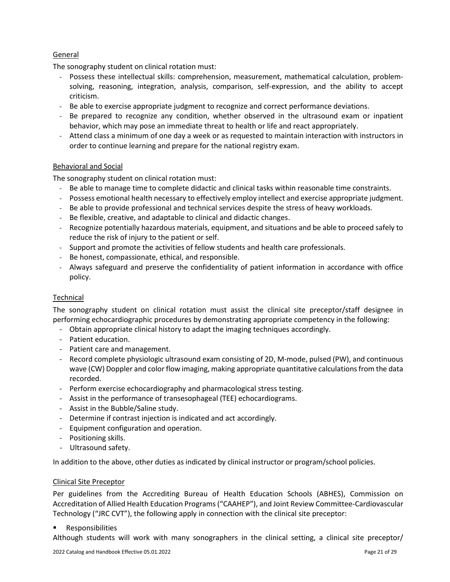# General

The sonography student on clinical rotation must:

- Possess these intellectual skills: comprehension, measurement, mathematical calculation, problemsolving, reasoning, integration, analysis, comparison, self-expression, and the ability to accept criticism.
- Be able to exercise appropriate judgment to recognize and correct performance deviations.
- Be prepared to recognize any condition, whether observed in the ultrasound exam or inpatient behavior, which may pose an immediate threat to health or life and react appropriately.
- Attend class a minimum of one day a week or as requested to maintain interaction with instructors in order to continue learning and prepare for the national registry exam.

# Behavioral and Social

The sonography student on clinical rotation must:

- Be able to manage time to complete didactic and clinical tasks within reasonable time constraints.
- Possess emotional health necessary to effectively employ intellect and exercise appropriate judgment.
- Be able to provide professional and technical services despite the stress of heavy workloads.
- Be flexible, creative, and adaptable to clinical and didactic changes.
- Recognize potentially hazardous materials, equipment, and situations and be able to proceed safely to reduce the risk of injury to the patient or self.
- Support and promote the activities of fellow students and health care professionals.
- Be honest, compassionate, ethical, and responsible.
- Always safeguard and preserve the confidentiality of patient information in accordance with office policy.

# **Technical**

The sonography student on clinical rotation must assist the clinical site preceptor/staff designee in performing echocardiographic procedures by demonstrating appropriate competency in the following:

- Obtain appropriate clinical history to adapt the imaging techniques accordingly.
- Patient education.
- Patient care and management.
- Record complete physiologic ultrasound exam consisting of 2D, M-mode, pulsed (PW), and continuous wave (CW) Doppler and color flow imaging, making appropriate quantitative calculations from the data recorded.
- Perform exercise echocardiography and pharmacological stress testing.
- Assist in the performance of transesophageal (TEE) echocardiograms.
- Assist in the Bubble/Saline study.
- Determine if contrast injection is indicated and act accordingly.
- Equipment configuration and operation.
- Positioning skills.
- Ultrasound safety.

<span id="page-20-0"></span>In addition to the above, other duties as indicated by clinical instructor or program/school policies.

# Clinical Site Preceptor

Per guidelines from the Accrediting Bureau of Health Education Schools (ABHES), Commission on Accreditation of Allied Health Education Programs ("CAAHEP"), and Joint Review Committee-Cardiovascular Technology ("JRC CVT"), the following apply in connection with the clinical site preceptor:

Responsibilities

Although students will work with many sonographers in the clinical setting, a clinical site preceptor/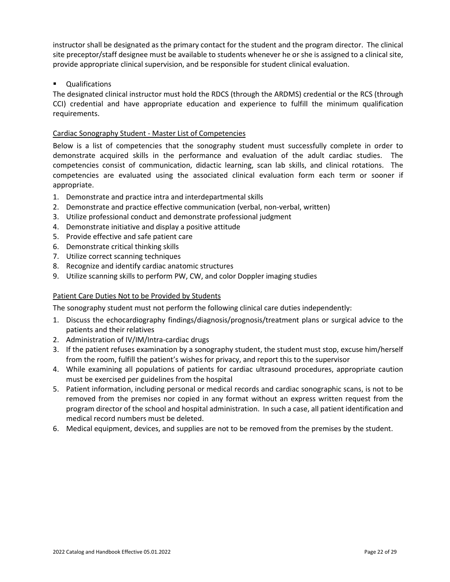instructor shall be designated as the primary contact for the student and the program director. The clinical site preceptor/staff designee must be available to students whenever he or she is assigned to a clinical site, provide appropriate clinical supervision, and be responsible for student clinical evaluation.

# Qualifications

The designated clinical instructor must hold the RDCS (through the ARDMS) credential or the RCS (through CCI) credential and have appropriate education and experience to fulfill the minimum qualification requirements.

# Cardiac Sonography Student - Master List of Competencies

Below is a list of competencies that the sonography student must successfully complete in order to demonstrate acquired skills in the performance and evaluation of the adult cardiac studies. The competencies consist of communication, didactic learning, scan lab skills, and clinical rotations. The competencies are evaluated using the associated clinical evaluation form each term or sooner if appropriate.

- 1. Demonstrate and practice intra and interdepartmental skills
- 2. Demonstrate and practice effective communication (verbal, non-verbal, written)
- 3. Utilize professional conduct and demonstrate professional judgment
- 4. Demonstrate initiative and display a positive attitude
- 5. Provide effective and safe patient care
- 6. Demonstrate critical thinking skills
- 7. Utilize correct scanning techniques
- 8. Recognize and identify cardiac anatomic structures
- 9. Utilize scanning skills to perform PW, CW, and color Doppler imaging studies

# Patient Care Duties Not to be Provided by Students

The sonography student must not perform the following clinical care duties independently:

- 1. Discuss the echocardiography findings/diagnosis/prognosis/treatment plans or surgical advice to the patients and their relatives
- 2. Administration of IV/IM/Intra-cardiac drugs
- 3. If the patient refuses examination by a sonography student, the student must stop, excuse him/herself from the room, fulfill the patient's wishes for privacy, and report this to the supervisor
- 4. While examining all populations of patients for cardiac ultrasound procedures, appropriate caution must be exercised per guidelines from the hospital
- 5. Patient information, including personal or medical records and cardiac sonographic scans, is not to be removed from the premises nor copied in any format without an express written request from the program director of the school and hospital administration. In such a case, all patient identification and medical record numbers must be deleted.
- 6. Medical equipment, devices, and supplies are not to be removed from the premises by the student.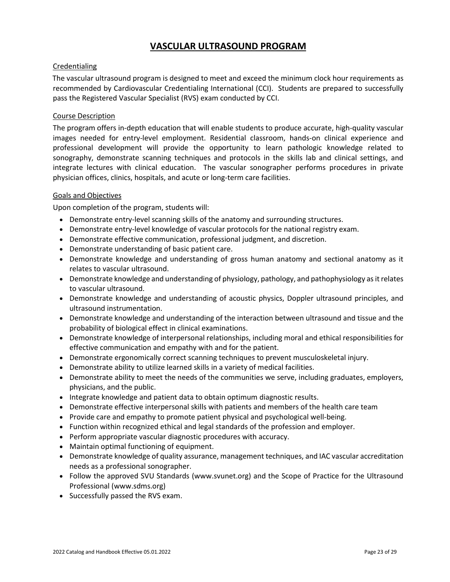# **VASCULAR ULTRASOUND PROGRAM**

# **Credentialing**

The vascular ultrasound program is designed to meet and exceed the minimum clock hour requirements as recommended by Cardiovascular Credentialing International (CCI). Students are prepared to successfully pass the Registered Vascular Specialist (RVS) exam conducted by CCI.

# Course Description

The program offers in-depth education that will enable students to produce accurate, high-quality vascular images needed for entry-level employment. Residential classroom, hands-on clinical experience and professional development will provide the opportunity to learn pathologic knowledge related to sonography, demonstrate scanning techniques and protocols in the skills lab and clinical settings, and integrate lectures with clinical education. The vascular sonographer performs procedures in private physician offices, clinics, hospitals, and acute or long-term care facilities.

# Goals and Objectives

Upon completion of the program, students will:

- Demonstrate entry-level scanning skills of the anatomy and surrounding structures.
- Demonstrate entry-level knowledge of vascular protocols for the national registry exam.
- Demonstrate effective communication, professional judgment, and discretion.
- Demonstrate understanding of basic patient care.
- Demonstrate knowledge and understanding of gross human anatomy and sectional anatomy as it relates to vascular ultrasound.
- Demonstrate knowledge and understanding of physiology, pathology, and pathophysiology as it relates to vascular ultrasound.
- Demonstrate knowledge and understanding of acoustic physics, Doppler ultrasound principles, and ultrasound instrumentation.
- Demonstrate knowledge and understanding of the interaction between ultrasound and tissue and the probability of biological effect in clinical examinations.
- Demonstrate knowledge of interpersonal relationships, including moral and ethical responsibilities for effective communication and empathy with and for the patient.
- Demonstrate ergonomically correct scanning techniques to prevent musculoskeletal injury.
- Demonstrate ability to utilize learned skills in a variety of medical facilities.
- Demonstrate ability to meet the needs of the communities we serve, including graduates, employers, physicians, and the public.
- Integrate knowledge and patient data to obtain optimum diagnostic results.
- Demonstrate effective interpersonal skills with patients and members of the health care team
- Provide care and empathy to promote patient physical and psychological well-being.
- Function within recognized ethical and legal standards of the profession and employer.
- Perform appropriate vascular diagnostic procedures with accuracy.
- Maintain optimal functioning of equipment.
- Demonstrate knowledge of quality assurance, management techniques, and IAC vascular accreditation needs as a professional sonographer.
- Follow the approved SVU Standards (www.svunet.org) and the Scope of Practice for the Ultrasound Professional (www.sdms.org)
- Successfully passed the RVS exam.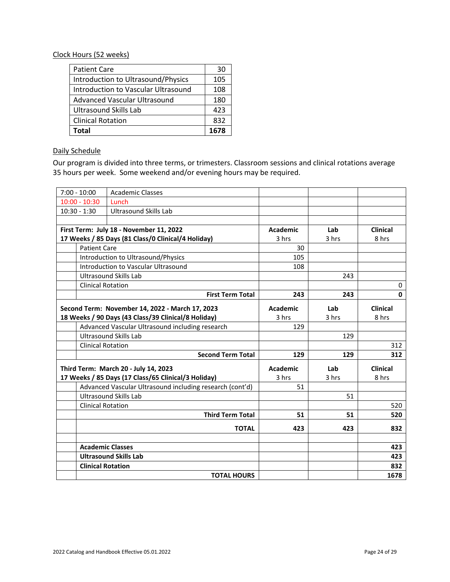#### Clock Hours (52 weeks)

| <b>Patient Care</b>                 | 30   |
|-------------------------------------|------|
| Introduction to Ultrasound/Physics  | 105  |
| Introduction to Vascular Ultrasound | 108  |
| <b>Advanced Vascular Ultrasound</b> | 180  |
| <b>Ultrasound Skills Lab</b>        | 423  |
| <b>Clinical Rotation</b>            | 832  |
| Total                               | 1678 |

# Daily Schedule

Our program is divided into three terms, or trimesters. Classroom sessions and clinical rotations average 35 hours per week. Some weekend and/or evening hours may be required.

| $7:00 - 10:00$      | <b>Academic Classes</b>                                  |                 |       |                 |
|---------------------|----------------------------------------------------------|-----------------|-------|-----------------|
| $10:00 - 10:30$     | Lunch                                                    |                 |       |                 |
| $10:30 - 1:30$      | <b>Ultrasound Skills Lab</b>                             |                 |       |                 |
|                     |                                                          |                 |       |                 |
|                     | First Term: July 18 - November 11, 2022                  | <b>Academic</b> | Lab   | Clinical        |
|                     | 17 Weeks / 85 Days (81 Class/0 Clinical/4 Holiday)       | 3 hrs           | 3 hrs | 8 hrs           |
| <b>Patient Care</b> |                                                          | 30              |       |                 |
|                     | Introduction to Ultrasound/Physics                       | 105             |       |                 |
|                     | Introduction to Vascular Ultrasound                      | 108             |       |                 |
|                     | Ultrasound Skills Lab                                    |                 | 243   |                 |
|                     | <b>Clinical Rotation</b>                                 |                 |       | 0               |
|                     | <b>First Term Total</b>                                  | 243             | 243   | $\mathbf{0}$    |
|                     | Second Term: November 14, 2022 - March 17, 2023          | <b>Academic</b> | Lab   | <b>Clinical</b> |
|                     | 18 Weeks / 90 Days (43 Class/39 Clinical/8 Holiday)      | 3 hrs           | 3 hrs | 8 hrs           |
|                     | Advanced Vascular Ultrasound including research          | 129             |       |                 |
|                     | <b>Ultrasound Skills Lab</b>                             |                 | 129   |                 |
|                     | <b>Clinical Rotation</b>                                 |                 |       | 312             |
|                     | <b>Second Term Total</b>                                 | 129             | 129   | 312             |
|                     | Third Term: March 20 - July 14, 2023                     | <b>Academic</b> | Lab   | <b>Clinical</b> |
|                     | 17 Weeks / 85 Days (17 Class/65 Clinical/3 Holiday)      | 3 hrs           | 3 hrs | 8 hrs           |
|                     | Advanced Vascular Ultrasound including research (cont'd) | 51              |       |                 |
|                     | <b>Ultrasound Skills Lab</b>                             |                 | 51    |                 |
|                     | <b>Clinical Rotation</b>                                 |                 |       | 520             |
|                     | <b>Third Term Total</b>                                  | 51              | 51    | 520             |
|                     | <b>TOTAL</b>                                             | 423             | 423   | 832             |
|                     |                                                          |                 |       |                 |
|                     | <b>Academic Classes</b>                                  |                 |       | 423             |
|                     | <b>Ultrasound Skills Lab</b>                             |                 |       | 423             |
|                     | <b>Clinical Rotation</b>                                 |                 |       | 832             |
|                     | <b>TOTAL HOURS</b>                                       |                 |       | 1678            |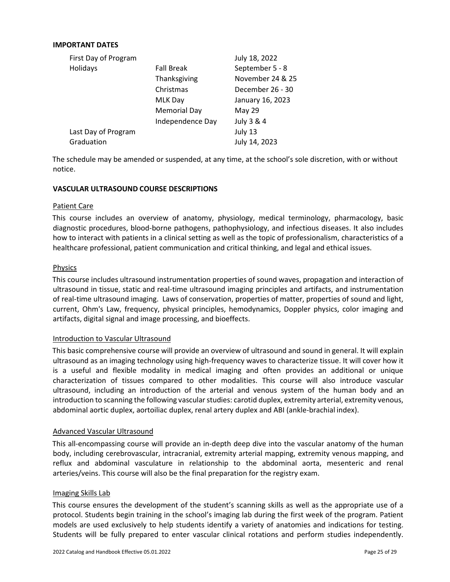#### **IMPORTANT DATES**

| First Day of Program |                     | July 18, 2022    |
|----------------------|---------------------|------------------|
| Holidays             | <b>Fall Break</b>   | September 5 - 8  |
|                      | Thanksgiving        | November 24 & 25 |
|                      | Christmas           | December 26 - 30 |
|                      | MLK Day             | January 16, 2023 |
|                      | <b>Memorial Day</b> | <b>May 29</b>    |
|                      | Independence Day    | July 3 & 4       |
| Last Day of Program  |                     | July 13          |
| Graduation           |                     | July 14, 2023    |

The schedule may be amended or suspended, at any time, at the school's sole discretion, with or without notice.

#### **VASCULAR ULTRASOUND COURSE DESCRIPTIONS**

#### Patient Care

This course includes an overview of anatomy, physiology, medical terminology, pharmacology, basic diagnostic procedures, blood-borne pathogens, pathophysiology, and infectious diseases. It also includes how to interact with patients in a clinical setting as well as the topic of professionalism, characteristics of a healthcare professional, patient communication and critical thinking, and legal and ethical issues.

#### Physics

This course includes ultrasound instrumentation properties of sound waves, propagation and interaction of ultrasound in tissue, static and real-time ultrasound imaging principles and artifacts, and instrumentation of real-time ultrasound imaging. Laws of conservation, properties of matter, properties of sound and light, current, Ohm's Law, frequency, physical principles, hemodynamics, Doppler physics, color imaging and artifacts, digital signal and image processing, and bioeffects.

#### Introduction to Vascular Ultrasound

This basic comprehensive course will provide an overview of ultrasound and sound in general. It will explain ultrasound as an imaging technology using high-frequency waves to characterize tissue. It will cover how it is a useful and flexible modality in medical imaging and often provides an additional or unique characterization of tissues compared to other modalities. This course will also introduce vascular ultrasound, including an introduction of the arterial and venous system of the human body and an introduction to scanning the following vascular studies: carotid duplex, extremity arterial, extremity venous, abdominal aortic duplex, aortoiliac duplex, renal artery duplex and ABI (ankle-brachial index).

#### Advanced Vascular Ultrasound

This all-encompassing course will provide an in-depth deep dive into the vascular anatomy of the human body, including cerebrovascular, intracranial, extremity arterial mapping, extremity venous mapping, and reflux and abdominal vasculature in relationship to the abdominal aorta, mesenteric and renal arteries/veins. This course will also be the final preparation for the registry exam.

#### Imaging Skills Lab

This course ensures the development of the student's scanning skills as well as the appropriate use of a protocol. Students begin training in the school's imaging lab during the first week of the program. Patient models are used exclusively to help students identify a variety of anatomies and indications for testing. Students will be fully prepared to enter vascular clinical rotations and perform studies independently.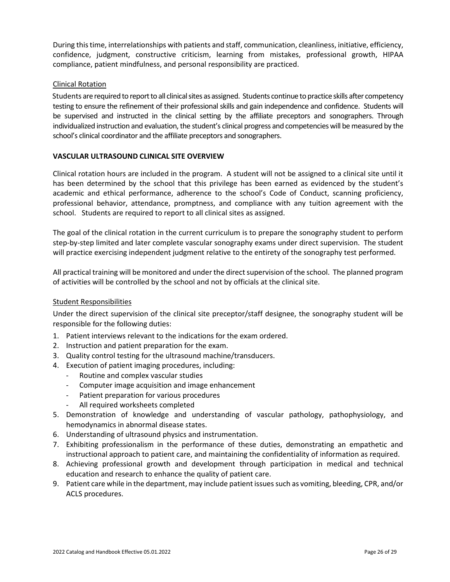During this time, interrelationships with patients and staff, communication, cleanliness, initiative, efficiency, confidence, judgment, constructive criticism, learning from mistakes, professional growth, HIPAA compliance, patient mindfulness, and personal responsibility are practiced.

#### Clinical Rotation

Students are required to report to all clinical sites as assigned. Students continue to practice skills after competency testing to ensure the refinement of their professional skills and gain independence and confidence. Students will be supervised and instructed in the clinical setting by the affiliate preceptors and sonographers. Through individualized instruction and evaluation, the student's clinical progress and competencies will be measured by the school's clinical coordinator and the affiliate preceptors and sonographers.

#### **VASCULAR ULTRASOUND CLINICAL SITE OVERVIEW**

Clinical rotation hours are included in the program. A student will not be assigned to a clinical site until it has been determined by the school that this privilege has been earned as evidenced by the student's academic and ethical performance, adherence to the school's Code of Conduct, scanning proficiency, professional behavior, attendance, promptness, and compliance with any tuition agreement with the school. Students are required to report to all clinical sites as assigned.

The goal of the clinical rotation in the current curriculum is to prepare the sonography student to perform step-by-step limited and later complete vascular sonography exams under direct supervision. The student will practice exercising independent judgment relative to the entirety of the sonography test performed.

All practical training will be monitored and under the direct supervision of the school. The planned program of activities will be controlled by the school and not by officials at the clinical site.

#### Student Responsibilities

Under the direct supervision of the clinical site preceptor/staff designee, the sonography student will be responsible for the following duties:

- 1. Patient interviews relevant to the indications for the exam ordered.
- 2. Instruction and patient preparation for the exam.
- 3. Quality control testing for the ultrasound machine/transducers.
- 4. Execution of patient imaging procedures, including:
	- Routine and complex vascular studies
	- Computer image acquisition and image enhancement
	- Patient preparation for various procedures
	- All required worksheets completed
- 5. Demonstration of knowledge and understanding of vascular pathology, pathophysiology, and hemodynamics in abnormal disease states.
- 6. Understanding of ultrasound physics and instrumentation.
- 7. Exhibiting professionalism in the performance of these duties, demonstrating an empathetic and instructional approach to patient care, and maintaining the confidentiality of information as required.
- 8. Achieving professional growth and development through participation in medical and technical education and research to enhance the quality of patient care.
- 9. Patient care while in the department, may include patient issues such as vomiting, bleeding, CPR, and/or ACLS procedures.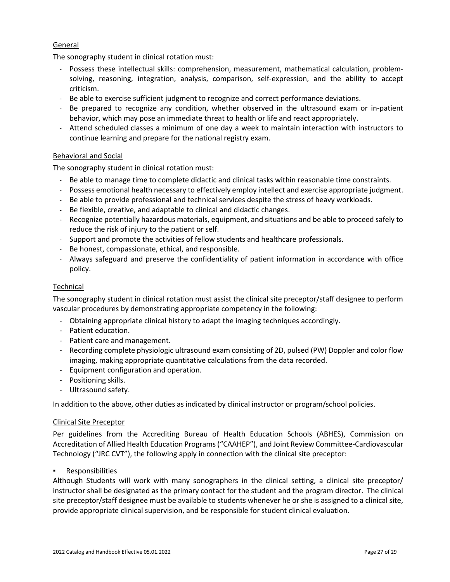# **General**

The sonography student in clinical rotation must:

- Possess these intellectual skills: comprehension, measurement, mathematical calculation, problemsolving, reasoning, integration, analysis, comparison, self-expression, and the ability to accept criticism.
- Be able to exercise sufficient judgment to recognize and correct performance deviations.
- Be prepared to recognize any condition, whether observed in the ultrasound exam or in-patient behavior, which may pose an immediate threat to health or life and react appropriately.
- Attend scheduled classes a minimum of one day a week to maintain interaction with instructors to continue learning and prepare for the national registry exam.

# Behavioral and Social

The sonography student in clinical rotation must:

- Be able to manage time to complete didactic and clinical tasks within reasonable time constraints.
- Possess emotional health necessary to effectively employ intellect and exercise appropriate judgment.
- Be able to provide professional and technical services despite the stress of heavy workloads.
- Be flexible, creative, and adaptable to clinical and didactic changes.
- Recognize potentially hazardous materials, equipment, and situations and be able to proceed safely to reduce the risk of injury to the patient or self.
- Support and promote the activities of fellow students and healthcare professionals.
- Be honest, compassionate, ethical, and responsible.
- Always safeguard and preserve the confidentiality of patient information in accordance with office policy.

# **Technical**

The sonography student in clinical rotation must assist the clinical site preceptor/staff designee to perform vascular procedures by demonstrating appropriate competency in the following:

- Obtaining appropriate clinical history to adapt the imaging techniques accordingly.
- Patient education.
- Patient care and management.
- Recording complete physiologic ultrasound exam consisting of 2D, pulsed (PW) Doppler and color flow imaging, making appropriate quantitative calculations from the data recorded.
- Equipment configuration and operation.
- Positioning skills.
- Ultrasound safety.

In addition to the above, other duties as indicated by clinical instructor or program/school policies.

#### Clinical Site Preceptor

Per guidelines from the Accrediting Bureau of Health Education Schools (ABHES), Commission on Accreditation of Allied Health Education Programs ("CAAHEP"), and Joint Review Committee-Cardiovascular Technology ("JRC CVT"), the following apply in connection with the clinical site preceptor:

▪ Responsibilities

Although Students will work with many sonographers in the clinical setting, a clinical site preceptor/ instructor shall be designated as the primary contact for the student and the program director. The clinical site preceptor/staff designee must be available to students whenever he or she is assigned to a clinical site, provide appropriate clinical supervision, and be responsible for student clinical evaluation.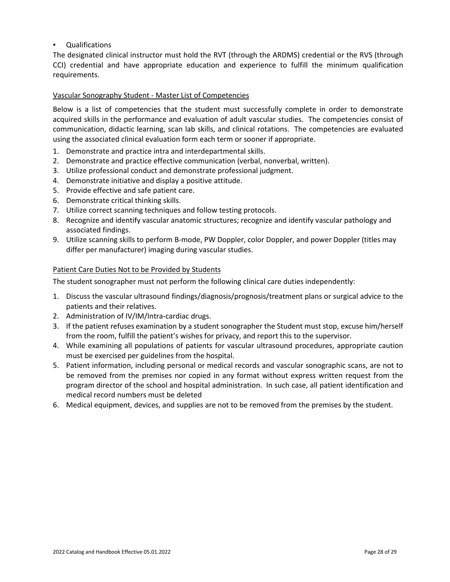**Qualifications** 

The designated clinical instructor must hold the RVT (through the ARDMS) credential or the RVS (through CCI) credential and have appropriate education and experience to fulfill the minimum qualification requirements.

# Vascular Sonography Student - Master List of Competencies

Below is a list of competencies that the student must successfully complete in order to demonstrate acquired skills in the performance and evaluation of adult vascular studies. The competencies consist of communication, didactic learning, scan lab skills, and clinical rotations. The competencies are evaluated using the associated clinical evaluation form each term or sooner if appropriate.

- 1. Demonstrate and practice intra and interdepartmental skills.
- 2. Demonstrate and practice effective communication (verbal, nonverbal, written).
- 3. Utilize professional conduct and demonstrate professional judgment.
- 4. Demonstrate initiative and display a positive attitude.
- 5. Provide effective and safe patient care.
- 6. Demonstrate critical thinking skills.
- 7. Utilize correct scanning techniques and follow testing protocols.
- 8. Recognize and identify vascular anatomic structures; recognize and identify vascular pathology and associated findings.
- 9. Utilize scanning skills to perform B-mode, PW Doppler, color Doppler, and power Doppler (titles may differ per manufacturer) imaging during vascular studies.

#### Patient Care Duties Not to be Provided by Students

The student sonographer must not perform the following clinical care duties independently:

- 1. Discuss the vascular ultrasound findings/diagnosis/prognosis/treatment plans or surgical advice to the patients and their relatives.
- 2. Administration of IV/IM/Intra-cardiac drugs.
- 3. If the patient refuses examination by a student sonographer the Student must stop, excuse him/herself from the room, fulfill the patient's wishes for privacy, and report this to the supervisor.
- 4. While examining all populations of patients for vascular ultrasound procedures, appropriate caution must be exercised per guidelines from the hospital.
- 5. Patient information, including personal or medical records and vascular sonographic scans, are not to be removed from the premises nor copied in any format without express written request from the program director of the school and hospital administration. In such case, all patient identification and medical record numbers must be deleted
- 6. Medical equipment, devices, and supplies are not to be removed from the premises by the student.